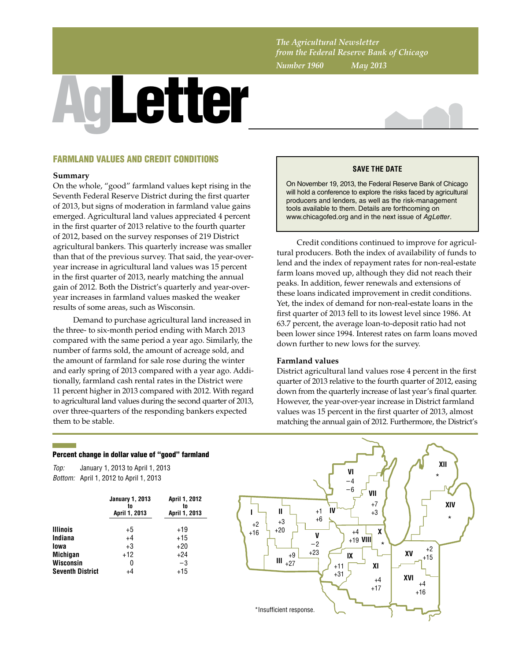*The Agricultural Newsletter from the Federal Reserve Bank of Chicago Number 1960 May 2013*

# AgLetter



# FARMLAND VALUES AND CREDIT CONDITIONS

### **Summary**

On the whole, "good" farmland values kept rising in the Seventh Federal Reserve District during the first quarter of 2013, but signs of moderation in farmland value gains emerged. Agricultural land values appreciated 4 percent in the first quarter of 2013 relative to the fourth quarter of 2012, based on the survey responses of 219 District agricultural bankers. This quarterly increase was smaller than that of the previous survey. That said, the year-overyear increase in agricultural land values was 15 percent in the first quarter of 2013, nearly matching the annual gain of 2012. Both the District's quarterly and year-overyear increases in farmland values masked the weaker results of some areas, such as Wisconsin.

Demand to purchase agricultural land increased in the three- to six-month period ending with March 2013 compared with the same period a year ago. Similarly, the number of farms sold, the amount of acreage sold, and the amount of farmland for sale rose during the winter and early spring of 2013 compared with a year ago. Additionally, farmland cash rental rates in the District were 11 percent higher in 2013 compared with 2012. With regard to agricultural land values during the second quarter of 2013, over three-quarters of the responding bankers expected them to be stable.

## **SAVE THE DATE**

On November 19, 2013, the Federal Reserve Bank of Chicago will hold a conference to explore the risks faced by agricultural producers and lenders, as well as the risk-management tools available to them. Details are forthcoming on www.chicagofed.org and in the next issue of *AgLetter*.

Credit conditions continued to improve for agricultural producers. Both the index of availability of funds to lend and the index of repayment rates for non-real-estate farm loans moved up, although they did not reach their peaks. In addition, fewer renewals and extensions of these loans indicated improvement in credit conditions. Yet, the index of demand for non-real-estate loans in the first quarter of 2013 fell to its lowest level since 1986. At 63.7 percent, the average loan-to-deposit ratio had not been lower since 1994. Interest rates on farm loans moved down further to new lows for the survey.

### **Farmland values**

District agricultural land values rose 4 percent in the first quarter of 2013 relative to the fourth quarter of 2012, easing down from the quarterly increase of last year's final quarter. However, the year-over-year increase in District farmland values was 15 percent in the first quarter of 2013, almost matching the annual gain of 2012. Furthermore, the District's

### Percent change in dollar value of "good" farmland

*Top: Bottom:* April 1, 2012 to April 1, 2013 January 1, 2013 to April 1, 2013

|                         | <b>January 1, 2013</b><br>to<br>April 1, 2013 | <b>April 1, 2012</b><br>to<br>April 1, 2013 |
|-------------------------|-----------------------------------------------|---------------------------------------------|
| <b>Illinois</b>         | +5                                            | $+19$                                       |
| Indiana                 | $+4$                                          | $+15$                                       |
| lowa                    | $+3$                                          | $+20$                                       |
| <b>Michigan</b>         | $+12$                                         | $+24$                                       |
| Wisconsin               | 0                                             | $-3$                                        |
| <b>Seventh District</b> | +4                                            | $+15$                                       |

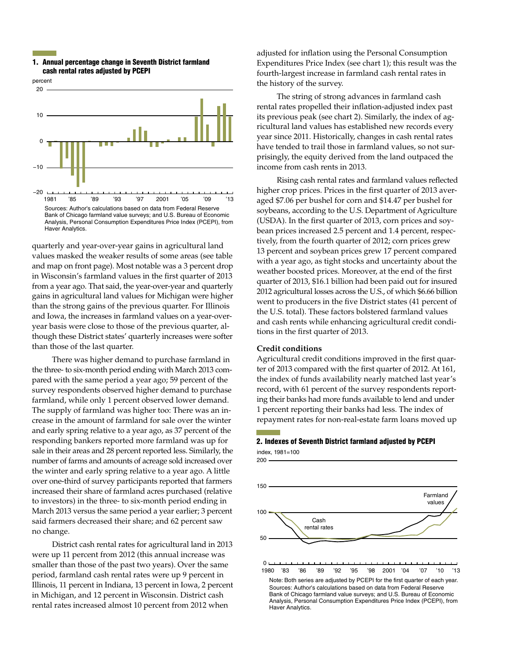### 1. Annual percentage change in Seventh District farmland cash rental rates adjusted by PCEPI



quarterly and year-over-year gains in agricultural land values masked the weaker results of some areas (see table and map on front page). Most notable was a 3 percent drop in Wisconsin's farmland values in the first quarter of 2013 from a year ago. That said, the year-over-year and quarterly gains in agricultural land values for Michigan were higher than the strong gains of the previous quarter. For Illinois and Iowa, the increases in farmland values on a year-overyear basis were close to those of the previous quarter, although these District states' quarterly increases were softer than those of the last quarter.

There was higher demand to purchase farmland in the three- to six-month period ending with March 2013 compared with the same period a year ago; 59 percent of the survey respondents observed higher demand to purchase farmland, while only 1 percent observed lower demand. The supply of farmland was higher too: There was an increase in the amount of farmland for sale over the winter and early spring relative to a year ago, as 37 percent of the responding bankers reported more farmland was up for sale in their areas and 28 percent reported less. Similarly, the number of farms and amounts of acreage sold increased over the winter and early spring relative to a year ago. A little over one-third of survey participants reported that farmers increased their share of farmland acres purchased (relative to investors) in the three- to six-month period ending in March 2013 versus the same period a year earlier; 3 percent said farmers decreased their share; and 62 percent saw no change.

District cash rental rates for agricultural land in 2013 were up 11 percent from 2012 (this annual increase was smaller than those of the past two years). Over the same period, farmland cash rental rates were up 9 percent in Illinois, 11 percent in Indiana, 13 percent in Iowa, 2 percent in Michigan, and 12 percent in Wisconsin. District cash rental rates increased almost 10 percent from 2012 when

adjusted for inflation using the Personal Consumption Expenditures Price Index (see chart 1); this result was the fourth-largest increase in farmland cash rental rates in the history of the survey.

The string of strong advances in farmland cash rental rates propelled their inflation-adjusted index past its previous peak (see chart 2). Similarly, the index of agricultural land values has established new records every year since 2011. Historically, changes in cash rental rates have tended to trail those in farmland values, so not surprisingly, the equity derived from the land outpaced the income from cash rents in 2013.

Rising cash rental rates and farmland values reflected higher crop prices. Prices in the first quarter of 2013 averaged \$7.06 per bushel for corn and \$14.47 per bushel for soybeans, according to the U.S. Department of Agriculture (USDA). In the first quarter of 2013, corn prices and soybean prices increased 2.5 percent and 1.4 percent, respectively, from the fourth quarter of 2012; corn prices grew 13 percent and soybean prices grew 17 percent compared with a year ago, as tight stocks and uncertainty about the weather boosted prices. Moreover, at the end of the first quarter of 2013, \$16.1 billion had been paid out for insured 2012 agricultural losses across the U.S., of which \$6.66 billion went to producers in the five District states (41 percent of the U.S. total). These factors bolstered farmland values and cash rents while enhancing agricultural credit conditions in the first quarter of 2013.

### **Credit conditions**

Agricultural credit conditions improved in the first quarter of 2013 compared with the first quarter of 2012. At 161, the index of funds availability nearly matched last year's record, with 61 percent of the survey respondents reporting their banks had more funds available to lend and under 1 percent reporting their banks had less. The index of repayment rates for non-real-estate farm loans moved up

### 2. Indexes of Seventh District farmland adjusted by PCEPI

index, 1981=100

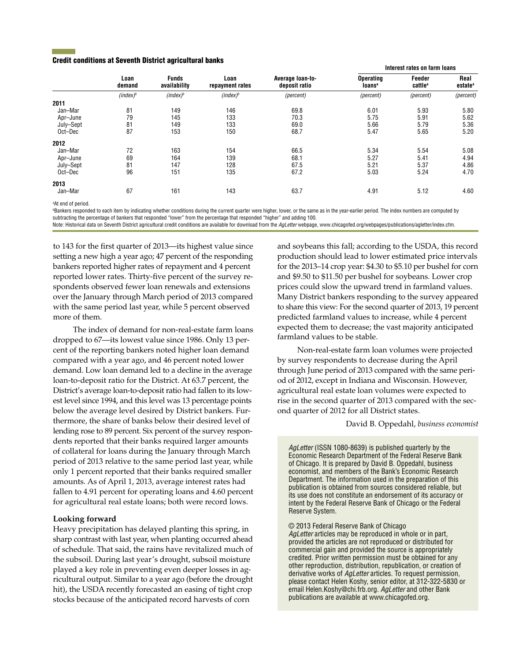### Credit conditions at Seventh District agricultural banks

|           | Loan<br>demand | <b>Funds</b><br>availability | Loan<br>repayment rates | Average loan-to-<br>deposit ratio | Interest rates on farm loans           |                               |                             |
|-----------|----------------|------------------------------|-------------------------|-----------------------------------|----------------------------------------|-------------------------------|-----------------------------|
|           |                |                              |                         |                                   | <b>Operating</b><br>loans <sup>a</sup> | Feeder<br>cattle <sup>a</sup> | Real<br>estate <sup>a</sup> |
|           | $(index)^b$    | $(index)^b$                  | $(index)^b$             | (percent)                         | (percent)                              | (percent)                     | (percent)                   |
| 2011      |                |                              |                         |                                   |                                        |                               |                             |
| Jan-Mar   | 81             | 149                          | 146                     | 69.8                              | 6.01                                   | 5.93                          | 5.80                        |
| Apr-June  | 79             | 145                          | 133                     | 70.3                              | 5.75                                   | 5.91                          | 5.62                        |
| July-Sept | 81             | 149                          | 133                     | 69.0                              | 5.66                                   | 5.79                          | 5.36                        |
| Oct-Dec   | 87             | 153                          | 150                     | 68.7                              | 5.47                                   | 5.65                          | 5.20                        |
| 2012      |                |                              |                         |                                   |                                        |                               |                             |
| Jan-Mar   | 72             | 163                          | 154                     | 66.5                              | 5.34                                   | 5.54                          | 5.08                        |
| Apr-June  | 69             | 164                          | 139                     | 68.1                              | 5.27                                   | 5.41                          | 4.94                        |
| July-Sept | 81             | 147                          | 128                     | 67.5                              | 5.21                                   | 5.37                          | 4.86                        |
| Oct-Dec   | 96             | 151                          | 135                     | 67.2                              | 5.03                                   | 5.24                          | 4.70                        |
| 2013      |                |                              |                         |                                   |                                        |                               |                             |
| Jan-Mar   | 67             | 161                          | 143                     | 63.7                              | 4.91                                   | 5.12                          | 4.60                        |

a At end of period.

**Bankers responded to each item by indicating whether conditions during the current quarter were higher, lower, or the same as in the year-earlier period. The index numbers are computed by** subtracting the percentage of bankers that responded "lower" from the percentage that responded "higher" and adding 100.

Note: Historical data on Seventh District agricultural credit conditions are available for download from the *AgLetter* webpage, www.chicagofed.org/webpages/publications/agletter/index.cfm.

to 143 for the first quarter of 2013—its highest value since setting a new high a year ago; 47 percent of the responding bankers reported higher rates of repayment and 4 percent reported lower rates. Thirty-five percent of the survey respondents observed fewer loan renewals and extensions over the January through March period of 2013 compared with the same period last year, while 5 percent observed more of them.

The index of demand for non-real-estate farm loans dropped to 67—its lowest value since 1986. Only 13 percent of the reporting bankers noted higher loan demand compared with a year ago, and 46 percent noted lower demand. Low loan demand led to a decline in the average loan-to-deposit ratio for the District. At 63.7 percent, the District's average loan-to-deposit ratio had fallen to its lowest level since 1994, and this level was 13 percentage points below the average level desired by District bankers. Furthermore, the share of banks below their desired level of lending rose to 89 percent. Six percent of the survey respondents reported that their banks required larger amounts of collateral for loans during the January through March period of 2013 relative to the same period last year, while only 1 percent reported that their banks required smaller amounts. As of April 1, 2013, average interest rates had fallen to 4.91 percent for operating loans and 4.60 percent for agricultural real estate loans; both were record lows.

### **Looking forward**

Heavy precipitation has delayed planting this spring, in sharp contrast with last year, when planting occurred ahead of schedule. That said, the rains have revitalized much of the subsoil. During last year's drought, subsoil moisture played a key role in preventing even deeper losses in agricultural output. Similar to a year ago (before the drought hit), the USDA recently forecasted an easing of tight crop stocks because of the anticipated record harvests of corn

and soybeans this fall; according to the USDA, this record production should lead to lower estimated price intervals for the 2013–14 crop year: \$4.30 to \$5.10 per bushel for corn and \$9.50 to \$11.50 per bushel for soybeans. Lower crop prices could slow the upward trend in farmland values. Many District bankers responding to the survey appeared to share this view: For the second quarter of 2013, 19 percent predicted farmland values to increase, while 4 percent expected them to decrease; the vast majority anticipated farmland values to be stable.

Non-real-estate farm loan volumes were projected by survey respondents to decrease during the April through June period of 2013 compared with the same period of 2012, except in Indiana and Wisconsin. However, agricultural real estate loan volumes were expected to rise in the second quarter of 2013 compared with the second quarter of 2012 for all District states.

David B. Oppedahl, *business economist*

*AgLetter* (ISSN 1080-8639) is published quarterly by the Economic Research Department of the Federal Reserve Bank of Chicago. It is prepared by David B. Oppedahl, business economist, and members of the Bank's Economic Research Department. The information used in the preparation of this publication is obtained from sources considered reliable, but its use does not constitute an endorsement of its accuracy or intent by the Federal Reserve Bank of Chicago or the Federal Reserve System.

© 2013 Federal Reserve Bank of Chicago

*AgLetter* articles may be reproduced in whole or in part, provided the articles are not reproduced or distributed for commercial gain and provided the source is appropriately credited. Prior written permission must be obtained for any other reproduction, distribution, republication, or creation of derivative works of *AgLetter* articles. To request permission, please contact Helen Koshy, senior editor, at 312-322-5830 or email Helen.Koshy@chi.frb.org. *AgLetter* and other Bank publications are available at www.chicagofed.org.